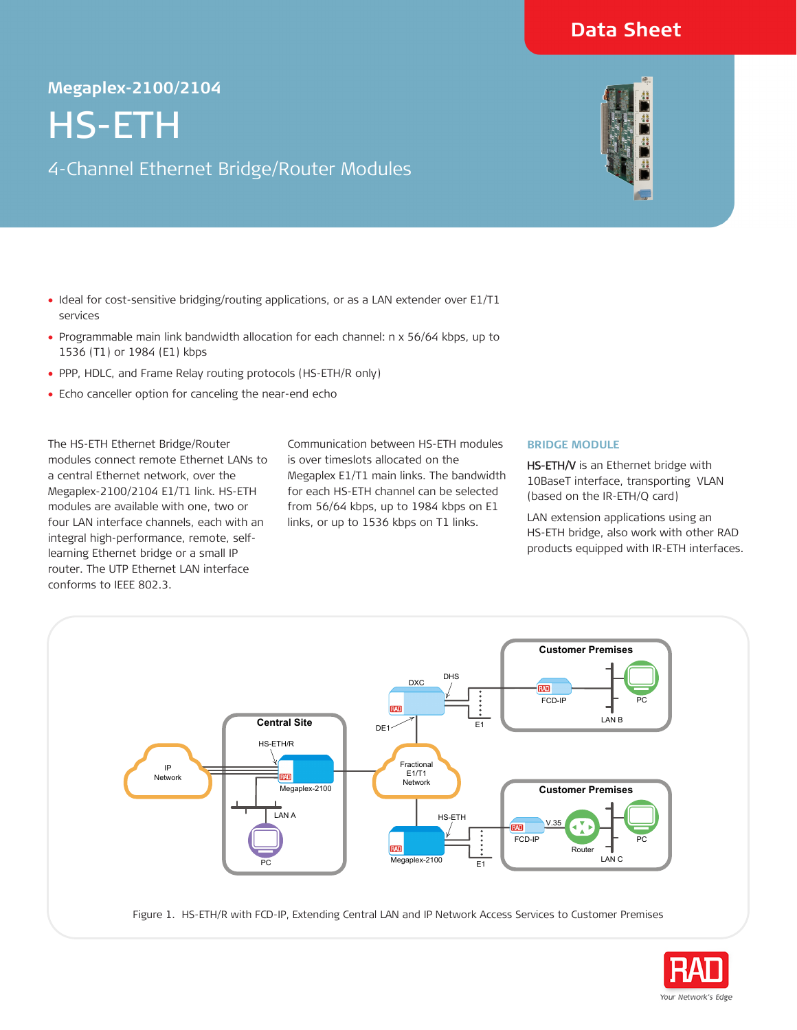## **Data Sheet**

# Megaplex-2100/2104<br> **HS-ETH**<br>
4-Channel Ethernet I HS-ETH

4-Channel Ethernet Bridge/Router Modules

- Ideal for cost-sensitive bridging/routing applications, or as a LAN extender over E1/T1 services
- Programmable main link bandwidth allocation for each channel: n x 56/64 kbps, up to 1536 (T1) or 1984 (E1) kbps
- PPP, HDLC, and Frame Relay routing protocols (HS-ETH/R only)
- Echo canceller option for canceling the near-end echo

The HS-ETH Ethernet Bridge/Router modules connect remote Ethernet LANs to a central Ethernet network, over the Megaplex-2100/2104 E1/T1 link. HS-ETH modules are available with one, two or four LAN interface channels, each with an integral high-performance, remote, selflearning Ethernet bridge or a small IP router. The UTP Ethernet LAN interface conforms to IEEE 802.3.

Communication between HS-ETH modules is over timeslots allocated on the Megaplex E1/T1 main links. The bandwidth for each HS-ETH channel can be selected from 56/64 kbps, up to 1984 kbps on E1 links, or up to 1536 kbps on T1 links.

## **BRIDGE MODULE**

HS-ETH/V is an Ethernet bridge with 10BaseT interface, transporting VLAN (based on the IR-ETH/Q card)

LAN extension applications using an HS-ETH bridge, also work with other RAD products equipped with IR-ETH interfaces.



Figure 1. HS-ETH/R with FCD-IP, Extending Central LAN and IP Network Access Services to Customer Premises



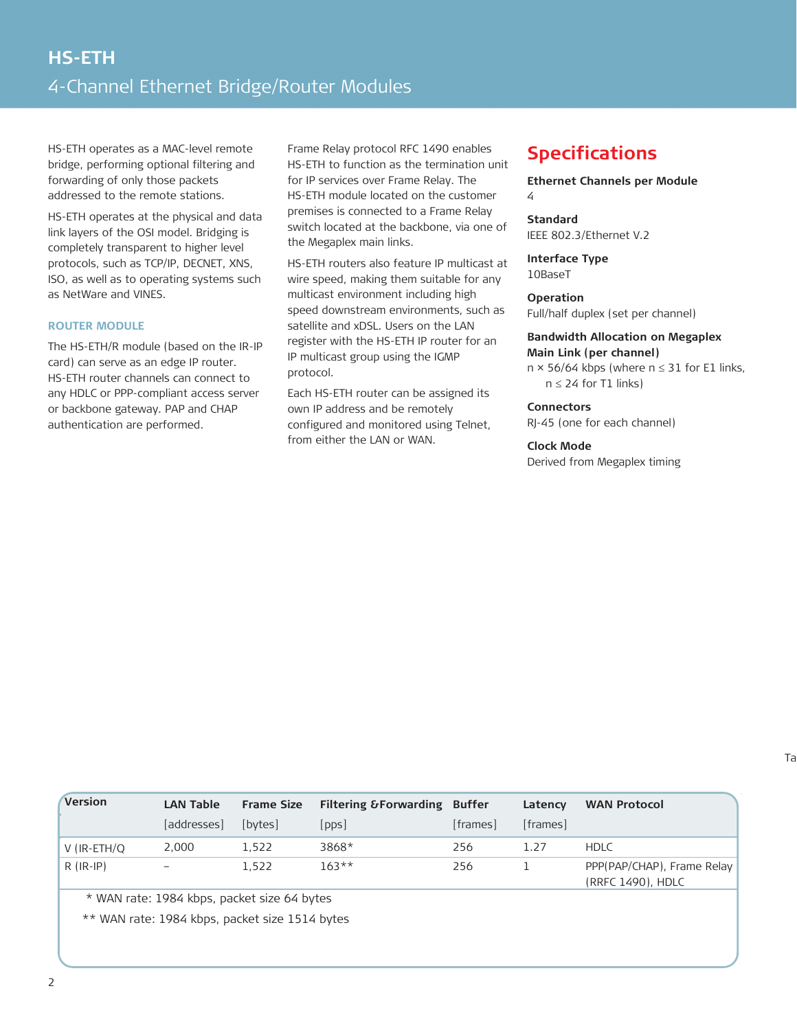HS-ETH operates as a MAC-level remote bridge, performing optional filtering and forwarding of only those packets addressed to the remote stations.

HS-ETH operates at the physical and data link layers of the OSI model. Bridging is completely transparent to higher level protocols, such as TCP/IP, DECNET, XNS, ISO, as well as to operating systems such as NetWare and VINES.

## **ROUTER MODULE**

The HS-ETH/R module (based on the IR-IP card) can serve as an edge IP router. HS-ETH router channels can connect to any HDLC or PPP-compliant access server or backbone gateway. PAP and CHAP authentication are performed.

Frame Relay protocol RFC 1490 enables HS-ETH to function as the termination unit for IP services over Frame Relay. The HS-ETH module located on the customer premises is connected to a Frame Relay switch located at the backbone, via one of the Megaplex main links.

HS-ETH routers also feature IP multicast at wire speed, making them suitable for any multicast environment including high speed downstream environments, such as satellite and xDSL. Users on the LAN register with the HS-ETH IP router for an IP multicast group using the IGMP protocol.

Each HS-ETH router can be assigned its own IP address and be remotely configured and monitored using Telnet, from either the LAN or WAN.

## **Specifications**

**Ethernet Channels per Module** 4

## **Standard** IEEE 802.3/Ethernet V.2

**Interface Type** 10BaseT

**Operation**  Full/half duplex (set per channel)

#### **Bandwidth Allocation on Megaplex**

**Main Link (per channel)**  $n \times 56/64$  kbps (where  $n \le 31$  for E1 links,  $n \leq 24$  for T1 links)

## **Connectors**

RJ-45 (one for each channel)

## **Clock Mode**

Derived from Megaplex timing

| Version                                     | <b>LAN Table</b> | <b>Frame Size</b> | <b>Filtering &amp; Forwarding Buffer</b> |          | Latency  | <b>WAN Protocol</b>                             |  |  |
|---------------------------------------------|------------------|-------------------|------------------------------------------|----------|----------|-------------------------------------------------|--|--|
|                                             | [addresses]      | [bytes]           | [pps]                                    | [frames] | [frames] |                                                 |  |  |
| V (IR-ETH/Q                                 | 2,000            | 1,522             | 3868*                                    | 256      | 1.27     | <b>HDLC</b>                                     |  |  |
| $R$ (IR-IP)                                 |                  | 1.522             | $163**$                                  | 256      |          | PPP(PAP/CHAP), Frame Relay<br>(RRFC 1490), HDLC |  |  |
| * WAN rate: 1984 kbps, packet size 64 bytes |                  |                   |                                          |          |          |                                                 |  |  |

\*\* WAN rate: 1984 kbps, packet size 1514 bytes